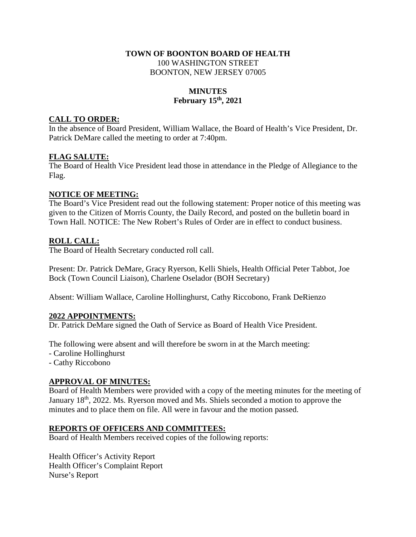### **TOWN OF BOONTON BOARD OF HEALTH**  100 WASHINGTON STREET BOONTON, NEW JERSEY 07005

#### **MINUTES February 15th, 2021**

## **CALL TO ORDER:**

In the absence of Board President, William Wallace, the Board of Health's Vice President, Dr. Patrick DeMare called the meeting to order at 7:40pm.

### **FLAG SALUTE:**

The Board of Health Vice President lead those in attendance in the Pledge of Allegiance to the Flag.

### **NOTICE OF MEETING:**

The Board's Vice President read out the following statement: Proper notice of this meeting was given to the Citizen of Morris County, the Daily Record, and posted on the bulletin board in Town Hall. NOTICE: The New Robert's Rules of Order are in effect to conduct business.

## **ROLL CALL:**

The Board of Health Secretary conducted roll call.

Present: Dr. Patrick DeMare, Gracy Ryerson, Kelli Shiels, Health Official Peter Tabbot, Joe Bock (Town Council Liaison), Charlene Oselador (BOH Secretary)

Absent: William Wallace, Caroline Hollinghurst, Cathy Riccobono, Frank DeRienzo

#### **2022 APPOINTMENTS:**

Dr. Patrick DeMare signed the Oath of Service as Board of Health Vice President.

The following were absent and will therefore be sworn in at the March meeting:

- Caroline Hollinghurst
- Cathy Riccobono

## **APPROVAL OF MINUTES:**

Board of Health Members were provided with a copy of the meeting minutes for the meeting of January 18th, 2022. Ms. Ryerson moved and Ms. Shiels seconded a motion to approve the minutes and to place them on file. All were in favour and the motion passed.

#### **REPORTS OF OFFICERS AND COMMITTEES:**

Board of Health Members received copies of the following reports:

Health Officer's Activity Report Health Officer's Complaint Report Nurse's Report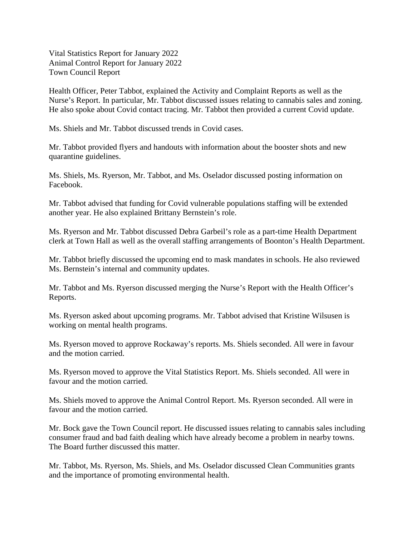Vital Statistics Report for January 2022 Animal Control Report for January 2022 Town Council Report

Health Officer, Peter Tabbot, explained the Activity and Complaint Reports as well as the Nurse's Report. In particular, Mr. Tabbot discussed issues relating to cannabis sales and zoning. He also spoke about Covid contact tracing. Mr. Tabbot then provided a current Covid update.

Ms. Shiels and Mr. Tabbot discussed trends in Covid cases.

Mr. Tabbot provided flyers and handouts with information about the booster shots and new quarantine guidelines.

Ms. Shiels, Ms. Ryerson, Mr. Tabbot, and Ms. Oselador discussed posting information on Facebook.

Mr. Tabbot advised that funding for Covid vulnerable populations staffing will be extended another year. He also explained Brittany Bernstein's role.

Ms. Ryerson and Mr. Tabbot discussed Debra Garbeil's role as a part-time Health Department clerk at Town Hall as well as the overall staffing arrangements of Boonton's Health Department.

Mr. Tabbot briefly discussed the upcoming end to mask mandates in schools. He also reviewed Ms. Bernstein's internal and community updates.

Mr. Tabbot and Ms. Ryerson discussed merging the Nurse's Report with the Health Officer's Reports.

Ms. Ryerson asked about upcoming programs. Mr. Tabbot advised that Kristine Wilsusen is working on mental health programs.

Ms. Ryerson moved to approve Rockaway's reports. Ms. Shiels seconded. All were in favour and the motion carried.

Ms. Ryerson moved to approve the Vital Statistics Report. Ms. Shiels seconded. All were in favour and the motion carried.

Ms. Shiels moved to approve the Animal Control Report. Ms. Ryerson seconded. All were in favour and the motion carried.

Mr. Bock gave the Town Council report. He discussed issues relating to cannabis sales including consumer fraud and bad faith dealing which have already become a problem in nearby towns. The Board further discussed this matter.

Mr. Tabbot, Ms. Ryerson, Ms. Shiels, and Ms. Oselador discussed Clean Communities grants and the importance of promoting environmental health.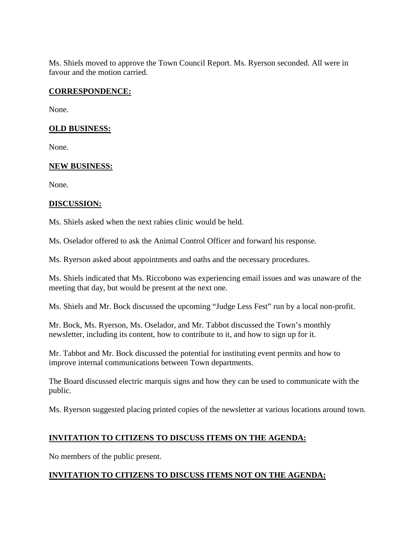Ms. Shiels moved to approve the Town Council Report. Ms. Ryerson seconded. All were in favour and the motion carried.

## **CORRESPONDENCE:**

None.

### **OLD BUSINESS:**

None.

### **NEW BUSINESS:**

None.

### **DISCUSSION:**

Ms. Shiels asked when the next rabies clinic would be held.

Ms. Oselador offered to ask the Animal Control Officer and forward his response.

Ms. Ryerson asked about appointments and oaths and the necessary procedures.

Ms. Shiels indicated that Ms. Riccobono was experiencing email issues and was unaware of the meeting that day, but would be present at the next one.

Ms. Shiels and Mr. Bock discussed the upcoming "Judge Less Fest" run by a local non-profit.

Mr. Bock, Ms. Ryerson, Ms. Oselador, and Mr. Tabbot discussed the Town's monthly newsletter, including its content, how to contribute to it, and how to sign up for it.

Mr. Tabbot and Mr. Bock discussed the potential for instituting event permits and how to improve internal communications between Town departments.

The Board discussed electric marquis signs and how they can be used to communicate with the public.

Ms. Ryerson suggested placing printed copies of the newsletter at various locations around town.

## **INVITATION TO CITIZENS TO DISCUSS ITEMS ON THE AGENDA:**

No members of the public present.

## **INVITATION TO CITIZENS TO DISCUSS ITEMS NOT ON THE AGENDA:**